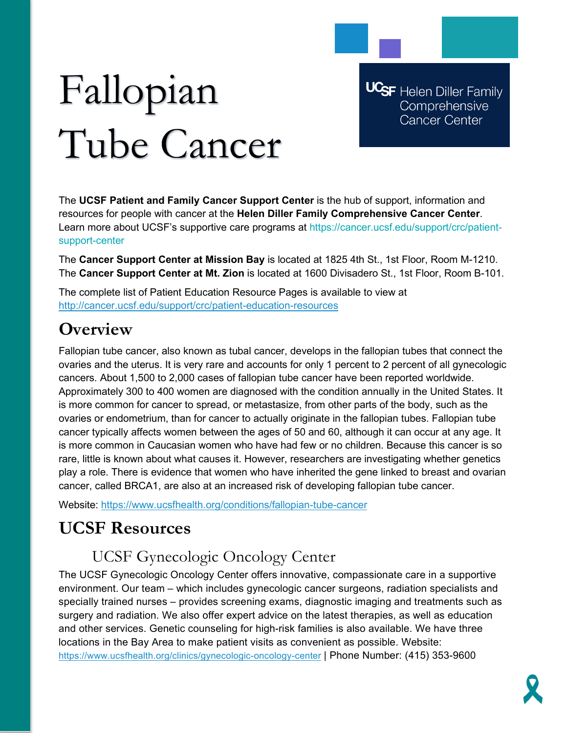# Fallopian Tube Cancer

**UCSF** Helen Diller Family Comprehensive **Cancer Center** 

The **UCSF Patient and Family Cancer Support Center** is the hub of support, information and resources for people with cancer at the **Helen Diller Family Comprehensive Cancer Center**. Learn more about UCSF's supportive care programs at https://cancer.ucsf.edu/support/crc/patientsupport-center

The **Cancer Support Center at Mission Bay** is located at 1825 4th St., 1st Floor, Room M-1210. The **Cancer Support Center at Mt. Zion** is located at 1600 Divisadero St., 1st Floor, Room B-101.

The complete list of Patient Education Resource Pages is available to view at <http://cancer.ucsf.edu/support/crc/patient-education-resources>

# **Overview**

Fallopian tube cancer, also known as tubal cancer, develops in the fallopian tubes that connect the ovaries and the uterus. It is very rare and accounts for only 1 percent to 2 percent of all gynecologic cancers. About 1,500 to 2,000 cases of fallopian tube cancer have been reported worldwide. Approximately 300 to 400 women are diagnosed with the condition annually in the United States. It is more common for cancer to spread, or metastasize, from other parts of the body, such as the ovaries or endometrium, than for cancer to actually originate in the fallopian tubes. Fallopian tube cancer typically affects women between the ages of 50 and 60, although it can occur at any age. It is more common in Caucasian women who have had few or no children. Because this cancer is so rare, little is known about what causes it. However, researchers are investigating whether genetics play a role. There is evidence that women who have inherited the gene linked to breast and ovarian cancer, called BRCA1, are also at an increased risk of developing fallopian tube cancer.

Website:<https://www.ucsfhealth.org/conditions/fallopian-tube-cancer>

## **UCSF Resources**

## UCSF Gynecologic Oncology Center

The UCSF Gynecologic Oncology Center offers innovative, compassionate care in a supportive environment. Our team – which includes gynecologic cancer surgeons, radiation specialists and specially trained nurses – provides screening exams, diagnostic imaging and treatments such as surgery and radiation. We also offer expert advice on the latest therapies, as well as education and other services. Genetic counseling for high-risk families is also available. We have three locations in the Bay Area to make patient visits as convenient as possible. Website: <https://www.ucsfhealth.org/clinics/gynecologic-oncology-center> | Phone Number: (415) 353-9600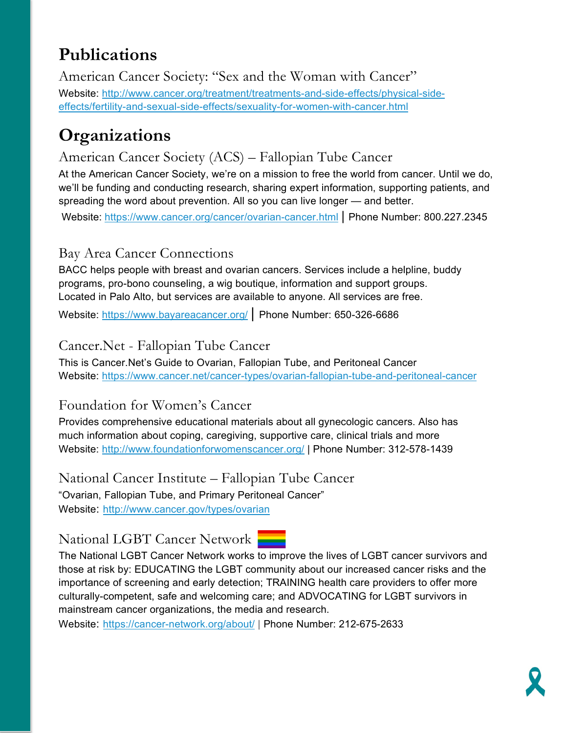# **Publications**

American Cancer Society: "Sex and the Woman with Cancer" Website: [http://www.cancer.org/treatment/treatments-and-side-effects/physical-side](http://www.cancer.org/treatment/treatments-and-side-effects/physical-side-effects/fertility-and-sexual-side-effects/sexuality-for-women-with-cancer.html)[effects/fertility-and-sexual-side-effects/sexuality-for-women-with-cancer.html](http://www.cancer.org/treatment/treatments-and-side-effects/physical-side-effects/fertility-and-sexual-side-effects/sexuality-for-women-with-cancer.html)

# **Organizations**

## American Cancer Society (ACS) – Fallopian Tube Cancer

At the American Cancer Society, we're on a mission to free the world from cancer. Until we do, we'll be funding and conducting research, sharing expert information, supporting patients, and spreading the word about prevention. All so you can live longer — and better.

Website: <https://www.cancer.org/cancer/ovarian-cancer.html> | Phone Number: 800.227.2345

## Bay Area Cancer Connections

BACC helps people with breast and ovarian cancers. Services include a helpline, buddy programs, pro-bono counseling, a wig boutique, information and support groups. Located in Palo Alto, but services are available to anyone. All services are free.

Website:<https://www.bayareacancer.org/> | Phone Number: 650-326-6686

## Cancer.Net - Fallopian Tube Cancer

This is Cancer.Net's Guide to Ovarian, Fallopian Tube, and Peritoneal Cancer Website:<https://www.cancer.net/cancer-types/ovarian-fallopian-tube-and-peritoneal-cancer>

#### Foundation for Women's Cancer

Provides comprehensive educational materials about all gynecologic cancers. Also has much information about coping, caregiving, supportive care, clinical trials and more Website:<http://www.foundationforwomenscancer.org/> | Phone Number: 312-578-1439

National Cancer Institute – Fallopian Tube Cancer "Ovarian, Fallopian Tube, and Primary Peritoneal Cancer" Website: <http://www.cancer.gov/types/ovarian>

## National LGBT Cancer Network



The National LGBT Cancer Network works to improve the lives of LGBT cancer survivors and those at risk by: EDUCATING the LGBT community about our increased cancer risks and the importance of screening and early detection; TRAINING health care providers to offer more culturally-competent, safe and welcoming care; and ADVOCATING for LGBT survivors in mainstream cancer organizations, the media and research.

Website: <https://cancer-network.org/about/> | Phone Number: 212-675-2633